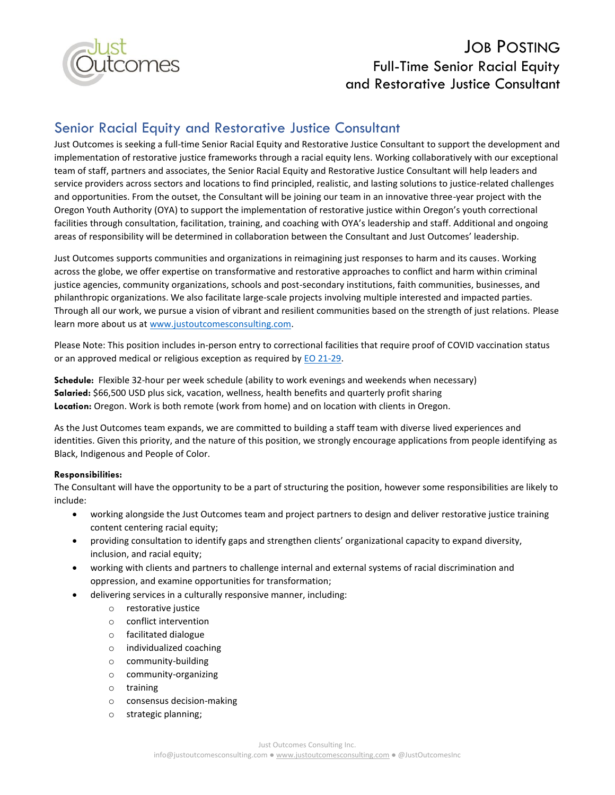

# JOB POSTING Full-Time Senior Racial Equity and Restorative Justice Consultant

## Senior Racial Equity and Restorative Justice Consultant

Just Outcomes is seeking a full-time Senior Racial Equity and Restorative Justice Consultant to support the development and implementation of restorative justice frameworks through a racial equity lens. Working collaboratively with our exceptional team of staff, partners and associates, the Senior Racial Equity and Restorative Justice Consultant will help leaders and service providers across sectors and locations to find principled, realistic, and lasting solutions to justice-related challenges and opportunities. From the outset, the Consultant will be joining our team in an innovative three-year project with the Oregon Youth Authority (OYA) to support the implementation of restorative justice within Oregon's youth correctional facilities through consultation, facilitation, training, and coaching with OYA's leadership and staff. Additional and ongoing areas of responsibility will be determined in collaboration between the Consultant and Just Outcomes' leadership.

Just Outcomes supports communities and organizations in reimagining just responses to harm and its causes. Working across the globe, we offer expertise on transformative and restorative approaches to conflict and harm within criminal justice agencies, community organizations, schools and post-secondary institutions, faith communities, businesses, and philanthropic organizations. We also facilitate large-scale projects involving multiple interested and impacted parties. Through all our work, we pursue a vision of vibrant and resilient communities based on the strength of just relations. Please learn more about us at [www.justoutcomesconsulting.com.](http://www.justoutcomesconsulting.com/)

Please Note: This position includes in-person entry to correctional facilities that require proof of COVID vaccination status or an approved medical or religious exception as required by **EO 21-29**.

**Schedule:** Flexible 32-hour per week schedule (ability to work evenings and weekends when necessary) **Salaried:** \$66,500 USD plus sick, vacation, wellness, health benefits and quarterly profit sharing **Location:** Oregon. Work is both remote (work from home) and on location with clients in Oregon.

As the Just Outcomes team expands, we are committed to building a staff team with diverse lived experiences and identities. Given this priority, and the nature of this position, we strongly encourage applications from people identifying as Black, Indigenous and People of Color.

#### **Responsibilities:**

The Consultant will have the opportunity to be a part of structuring the position, however some responsibilities are likely to include:

- working alongside the Just Outcomes team and project partners to design and deliver restorative justice training content centering racial equity;
- providing consultation to identify gaps and strengthen clients' organizational capacity to expand diversity, inclusion, and racial equity;
- working with clients and partners to challenge internal and external systems of racial discrimination and oppression, and examine opportunities for transformation;
- delivering services in a culturally responsive manner, including:
	- o restorative justice
	- o conflict intervention
	- o facilitated dialogue
	- o individualized coaching
	- o community-building
	- o community-organizing
	- o training
	- o consensus decision-making
	- o strategic planning;